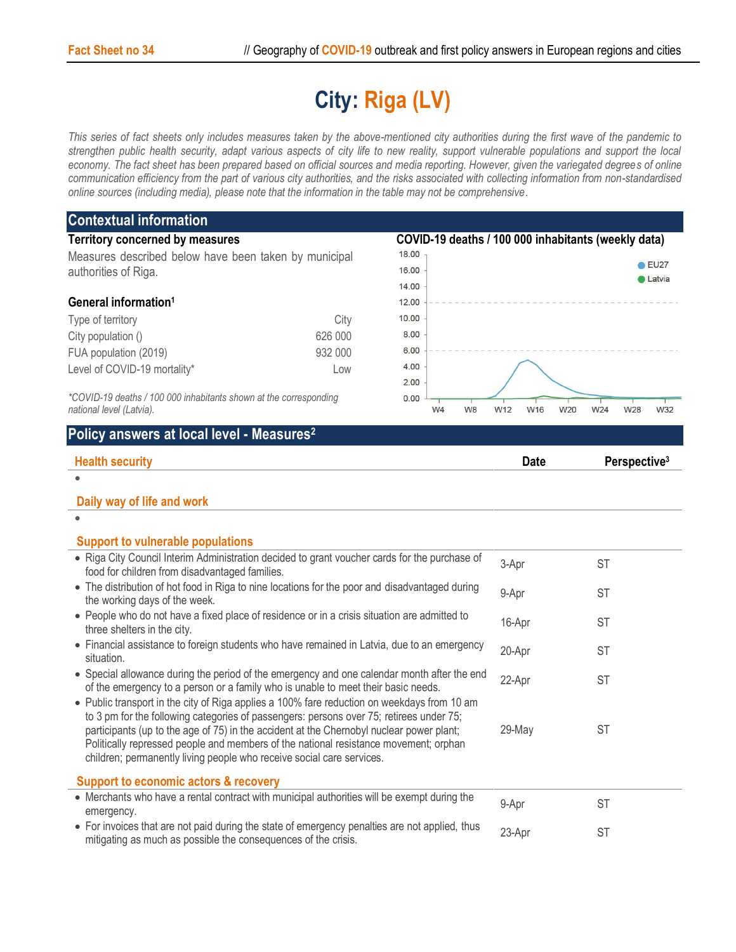## **City: Riga (LV)**

*This series of fact sheets only includes measures taken by the above-mentioned city authorities during the first wave of the pandemic to strengthen public health security, adapt various aspects of city life to new reality, support vulnerable populations and support the local economy. The fact sheet has been prepared based on official sources and media reporting. However, given the variegated degrees of online communication efficiency from the part of various city authorities, and the risks associated with collecting information from non-standardised online sources (including media), please note that the information in the table may not be comprehensive*.

| <b>Contextual information</b>                                                                                                                                                    |         |                                                     |             |                                 |  |
|----------------------------------------------------------------------------------------------------------------------------------------------------------------------------------|---------|-----------------------------------------------------|-------------|---------------------------------|--|
| <b>Territory concerned by measures</b>                                                                                                                                           |         | COVID-19 deaths / 100 000 inhabitants (weekly data) |             |                                 |  |
| Measures described below have been taken by municipal                                                                                                                            |         | 18.00                                               |             |                                 |  |
| authorities of Riga.                                                                                                                                                             |         | 16.00                                               |             | $\bullet$ EU27<br><b>Latvia</b> |  |
|                                                                                                                                                                                  |         | 14.00                                               |             |                                 |  |
| General information <sup>1</sup>                                                                                                                                                 |         | 12.00                                               |             |                                 |  |
| Type of territory                                                                                                                                                                | City    | 10.00                                               |             |                                 |  |
| City population ()                                                                                                                                                               | 626 000 | 8.00                                                |             |                                 |  |
| FUA population (2019)                                                                                                                                                            | 932 000 | 6.00                                                |             |                                 |  |
| Level of COVID-19 mortality*                                                                                                                                                     | Low     | 4.00                                                |             |                                 |  |
|                                                                                                                                                                                  |         | 2.00                                                |             |                                 |  |
| *COVID-19 deaths / 100 000 inhabitants shown at the corresponding<br>national level (Latvia).                                                                                    |         | 0.00<br>W4<br>W8                                    | W12<br>W16  | W20<br>W24<br>W28<br>W32        |  |
|                                                                                                                                                                                  |         |                                                     |             |                                 |  |
| Policy answers at local level - Measures <sup>2</sup>                                                                                                                            |         |                                                     |             |                                 |  |
| <b>Health security</b>                                                                                                                                                           |         |                                                     | <b>Date</b> | Perspective <sup>3</sup>        |  |
|                                                                                                                                                                                  |         |                                                     |             |                                 |  |
| Daily way of life and work                                                                                                                                                       |         |                                                     |             |                                 |  |
|                                                                                                                                                                                  |         |                                                     |             |                                 |  |
|                                                                                                                                                                                  |         |                                                     |             |                                 |  |
| <b>Support to vulnerable populations</b>                                                                                                                                         |         |                                                     |             |                                 |  |
| . Riga City Council Interim Administration decided to grant voucher cards for the purchase of<br>food for children from disadvantaged families.                                  |         |                                                     | 3-Apr       | <b>ST</b>                       |  |
| • The distribution of hot food in Riga to nine locations for the poor and disadvantaged during                                                                                   |         |                                                     | 9-Apr       | <b>ST</b>                       |  |
| the working days of the week.                                                                                                                                                    |         |                                                     |             |                                 |  |
| • People who do not have a fixed place of residence or in a crisis situation are admitted to                                                                                     |         |                                                     | 16-Apr      | <b>ST</b>                       |  |
| three shelters in the city.                                                                                                                                                      |         |                                                     |             |                                 |  |
| • Financial assistance to foreign students who have remained in Latvia, due to an emergency<br>situation.                                                                        |         |                                                     | 20-Apr      | <b>ST</b>                       |  |
| • Special allowance during the period of the emergency and one calendar month after the end                                                                                      |         |                                                     | 22-Apr      |                                 |  |
| of the emergency to a person or a family who is unable to meet their basic needs.                                                                                                |         |                                                     |             | <b>ST</b>                       |  |
| • Public transport in the city of Riga applies a 100% fare reduction on weekdays from 10 am                                                                                      |         |                                                     |             |                                 |  |
| to 3 pm for the following categories of passengers: persons over 75; retirees under 75;                                                                                          |         |                                                     |             |                                 |  |
| participants (up to the age of 75) in the accident at the Chernobyl nuclear power plant;<br>Politically repressed people and members of the national resistance movement; orphan |         |                                                     | 29-May      | <b>ST</b>                       |  |
| children; permanently living people who receive social care services.                                                                                                            |         |                                                     |             |                                 |  |
|                                                                                                                                                                                  |         |                                                     |             |                                 |  |
| <b>Support to economic actors &amp; recovery</b>                                                                                                                                 |         |                                                     |             |                                 |  |
| • Merchants who have a rental contract with municipal authorities will be exempt during the                                                                                      |         |                                                     | 9-Apr       | <b>ST</b>                       |  |
| emergency.                                                                                                                                                                       |         |                                                     | 23-Apr      |                                 |  |
| • For invoices that are not paid during the state of emergency penalties are not applied, thus<br>mitigating as much as possible the consequences of the crisis.                 |         |                                                     |             | ST                              |  |